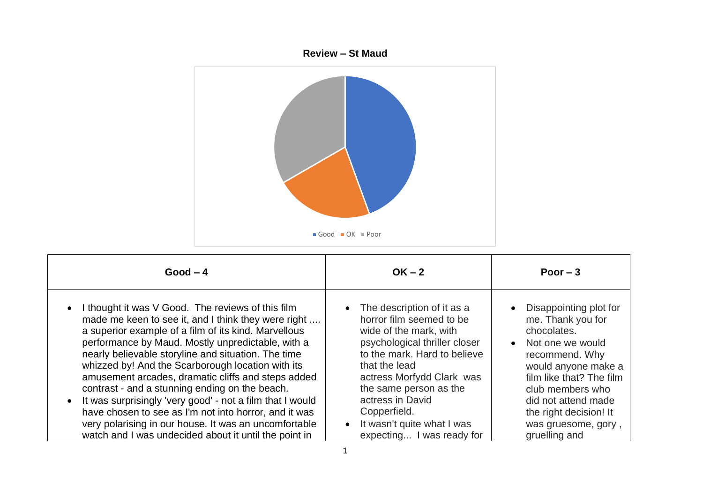

| $Good - 4$                                                                                                                                                                                                                                                                                                                                                                                                                                                                                                                                                                                                                                                                                                  | $OK - 2$                                                                                                                                                                                                                                                                                                                 | Poor $-3$                                                                                                                                                                                                                                                                       |
|-------------------------------------------------------------------------------------------------------------------------------------------------------------------------------------------------------------------------------------------------------------------------------------------------------------------------------------------------------------------------------------------------------------------------------------------------------------------------------------------------------------------------------------------------------------------------------------------------------------------------------------------------------------------------------------------------------------|--------------------------------------------------------------------------------------------------------------------------------------------------------------------------------------------------------------------------------------------------------------------------------------------------------------------------|---------------------------------------------------------------------------------------------------------------------------------------------------------------------------------------------------------------------------------------------------------------------------------|
| I thought it was V Good. The reviews of this film<br>$\bullet$<br>made me keen to see it, and I think they were right<br>a superior example of a film of its kind. Marvellous<br>performance by Maud. Mostly unpredictable, with a<br>nearly believable storyline and situation. The time<br>whizzed by! And the Scarborough location with its<br>amusement arcades, dramatic cliffs and steps added<br>contrast - and a stunning ending on the beach.<br>It was surprisingly 'very good' - not a film that I would<br>$\bullet$<br>have chosen to see as I'm not into horror, and it was<br>very polarising in our house. It was an uncomfortable<br>watch and I was undecided about it until the point in | The description of it as a<br>horror film seemed to be<br>wide of the mark, with<br>psychological thriller closer<br>to the mark. Hard to believe<br>that the lead<br>actress Morfydd Clark was<br>the same person as the<br>actress in David<br>Copperfield.<br>It wasn't quite what I was<br>expecting I was ready for | • Disappointing plot for<br>me. Thank you for<br>chocolates.<br>Not one we would<br>$\bullet$<br>recommend. Why<br>would anyone make a<br>film like that? The film<br>club members who<br>did not attend made<br>the right decision! It<br>was gruesome, gory,<br>gruelling and |